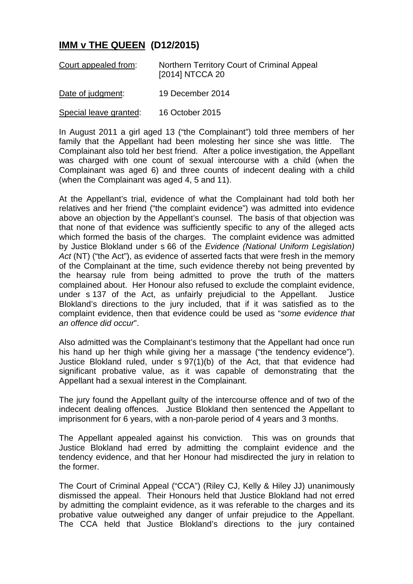## **IMM v THE QUEEN (D12/2015)**

| Court appealed from: | Northern Territory Court of Criminal Appeal |
|----------------------|---------------------------------------------|
|                      | [2014] NTCCA 20                             |

Date of judgment: 19 December 2014

Special leave granted: 16 October 2015

In August 2011 a girl aged 13 ("the Complainant") told three members of her family that the Appellant had been molesting her since she was little. The Complainant also told her best friend. After a police investigation, the Appellant was charged with one count of sexual intercourse with a child (when the Complainant was aged 6) and three counts of indecent dealing with a child (when the Complainant was aged 4, 5 and 11).

At the Appellant's trial, evidence of what the Complainant had told both her relatives and her friend ("the complaint evidence") was admitted into evidence above an objection by the Appellant's counsel. The basis of that objection was that none of that evidence was sufficiently specific to any of the alleged acts which formed the basis of the charges. The complaint evidence was admitted by Justice Blokland under s 66 of the *Evidence (National Uniform Legislation) Act* (NT) ("the Act"), as evidence of asserted facts that were fresh in the memory of the Complainant at the time, such evidence thereby not being prevented by the hearsay rule from being admitted to prove the truth of the matters complained about. Her Honour also refused to exclude the complaint evidence, under s 137 of the Act, as unfairly prejudicial to the Appellant. Justice Blokland's directions to the jury included, that if it was satisfied as to the complaint evidence, then that evidence could be used as "*some evidence that an offence did occur*".

Also admitted was the Complainant's testimony that the Appellant had once run his hand up her thigh while giving her a massage ("the tendency evidence"). Justice Blokland ruled, under s 97(1)(b) of the Act, that that evidence had significant probative value, as it was capable of demonstrating that the Appellant had a sexual interest in the Complainant.

The jury found the Appellant quilty of the intercourse offence and of two of the indecent dealing offences. Justice Blokland then sentenced the Appellant to imprisonment for 6 years, with a non-parole period of 4 years and 3 months.

The Appellant appealed against his conviction. This was on grounds that Justice Blokland had erred by admitting the complaint evidence and the tendency evidence, and that her Honour had misdirected the jury in relation to the former.

The Court of Criminal Appeal ("CCA") (Riley CJ, Kelly & Hiley JJ) unanimously dismissed the appeal. Their Honours held that Justice Blokland had not erred by admitting the complaint evidence, as it was referable to the charges and its probative value outweighed any danger of unfair prejudice to the Appellant. The CCA held that Justice Blokland's directions to the jury contained